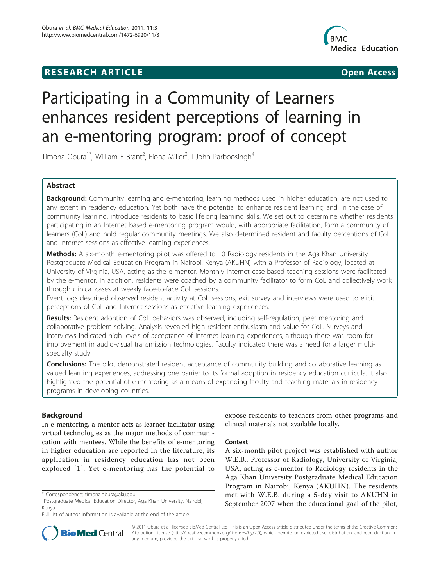# **RESEARCH ARTICLE Example 2014 CONSUMING ACCESS**



# Participating in a Community of Learners enhances resident perceptions of learning in an e-mentoring program: proof of concept

Timona Obura $^{\text{1*}}$ , William E Brant $^{\text{2}}$ , Fiona Miller $^{\text{3}}$ , I John Parboosingh $^{\text{4}}$ 

# Abstract

Background: Community learning and e-mentoring, learning methods used in higher education, are not used to any extent in residency education. Yet both have the potential to enhance resident learning and, in the case of community learning, introduce residents to basic lifelong learning skills. We set out to determine whether residents participating in an Internet based e-mentoring program would, with appropriate facilitation, form a community of learners (CoL) and hold regular community meetings. We also determined resident and faculty perceptions of CoL and Internet sessions as effective learning experiences.

Methods: A six-month e-mentoring pilot was offered to 10 Radiology residents in the Aga Khan University Postgraduate Medical Education Program in Nairobi, Kenya (AKUHN) with a Professor of Radiology, located at University of Virginia, USA, acting as the e-mentor. Monthly Internet case-based teaching sessions were facilitated by the e-mentor. In addition, residents were coached by a community facilitator to form CoL and collectively work through clinical cases at weekly face-to-face CoL sessions.

Event logs described observed resident activity at CoL sessions; exit survey and interviews were used to elicit perceptions of CoL and Internet sessions as effective learning experiences.

Results: Resident adoption of CoL behaviors was observed, including self-regulation, peer mentoring and collaborative problem solving. Analysis revealed high resident enthusiasm and value for CoL. Surveys and interviews indicated high levels of acceptance of Internet learning experiences, although there was room for improvement in audio-visual transmission technologies. Faculty indicated there was a need for a larger multispecialty study.

**Conclusions:** The pilot demonstrated resident acceptance of community building and collaborative learning as valued learning experiences, addressing one barrier to its formal adoption in residency education curricula. It also highlighted the potential of e-mentoring as a means of expanding faculty and teaching materials in residency programs in developing countries.

# Background

In e-mentoring, a mentor acts as learner facilitator using virtual technologies as the major methods of communication with mentees. While the benefits of e-mentoring in higher education are reported in the literature, its application in residency education has not been explored [[1](#page-5-0)]. Yet e-mentoring has the potential to



# Context

A six-month pilot project was established with author W.E.B., Professor of Radiology, University of Virginia, USA, acting as e-mentor to Radiology residents in the Aga Khan University Postgraduate Medical Education Program in Nairobi, Kenya (AKUHN). The residents met with W.E.B. during a 5-day visit to AKUHN in September 2007 when the educational goal of the pilot,



© 2011 Obura et al; licensee BioMed Central Ltd. This is an Open Access article distributed under the terms of the Creative Commons Attribution License [\(http://creativecommons.org/licenses/by/2.0](http://creativecommons.org/licenses/by/2.0)), which permits unrestricted use, distribution, and reproduction in any medium, provided the original work is properly cited.

<sup>\*</sup> Correspondence: [timona.obura@aku.edu](mailto:timona.obura@aku.edu)

<sup>&</sup>lt;sup>1</sup>Postgraduate Medical Education Director, Aga Khan University, Nairobi, Kenya

Full list of author information is available at the end of the article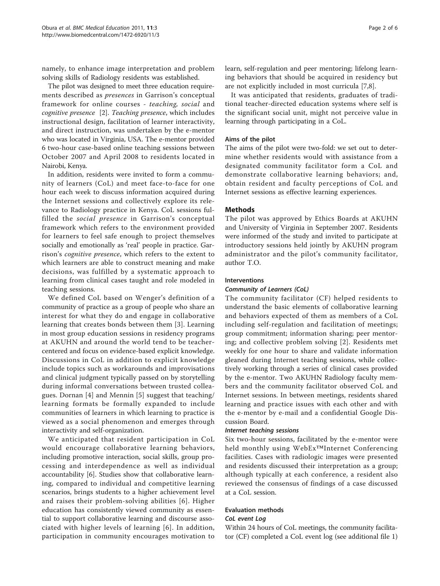namely, to enhance image interpretation and problem solving skills of Radiology residents was established.

The pilot was designed to meet three education requirements described as presences in Garrison's conceptual framework for online courses - teaching, social and cognitive presence [[2\]](#page-5-0). Teaching presence, which includes instructional design, facilitation of learner interactivity, and direct instruction, was undertaken by the e-mentor who was located in Virginia, USA. The e-mentor provided 6 two-hour case-based online teaching sessions between October 2007 and April 2008 to residents located in Nairobi, Kenya.

In addition, residents were invited to form a community of learners (CoL) and meet face-to-face for one hour each week to discuss information acquired during the Internet sessions and collectively explore its relevance to Radiology practice in Kenya. CoL sessions fulfilled the social presence in Garrison's conceptual framework which refers to the environment provided for learners to feel safe enough to project themselves socially and emotionally as 'real' people in practice. Garrison's cognitive presence, which refers to the extent to which learners are able to construct meaning and make decisions, was fulfilled by a systematic approach to learning from clinical cases taught and role modeled in teaching sessions.

We defined CoL based on Wenger's definition of a community of practice as a group of people who share an interest for what they do and engage in collaborative learning that creates bonds between them [[3\]](#page-5-0). Learning in most group education sessions in residency programs at AKUHN and around the world tend to be teachercentered and focus on evidence-based explicit knowledge. Discussions in CoL in addition to explicit knowledge include topics such as workarounds and improvisations and clinical judgment typically passed on by storytelling during informal conversations between trusted colleagues. Dornan [[4\]](#page-5-0) and Mennin [\[5](#page-5-0)] suggest that teaching/ learning formats be formally expanded to include communities of learners in which learning to practice is viewed as a social phenomenon and emerges through interactivity and self-organization.

We anticipated that resident participation in CoL would encourage collaborative learning behaviors, including promotive interaction, social skills, group processing and interdependence as well as individual accountability [\[6](#page-5-0)]. Studies show that collaborative learning, compared to individual and competitive learning scenarios, brings students to a higher achievement level and raises their problem-solving abilities [[6](#page-5-0)]. Higher education has consistently viewed community as essential to support collaborative learning and discourse associated with higher levels of learning [[6](#page-5-0)]. In addition, participation in community encourages motivation to learn, self-regulation and peer mentoring; lifelong learning behaviors that should be acquired in residency but are not explicitly included in most curricula [\[7,8](#page-5-0)].

It was anticipated that residents, graduates of traditional teacher-directed education systems where self is the significant social unit, might not perceive value in learning through participating in a CoL.

# Aims of the pilot

The aims of the pilot were two-fold: we set out to determine whether residents would with assistance from a designated community facilitator form a CoL and demonstrate collaborative learning behaviors; and, obtain resident and faculty perceptions of CoL and Internet sessions as effective learning experiences.

# Methods

The pilot was approved by Ethics Boards at AKUHN and University of Virginia in September 2007. Residents were informed of the study and invited to participate at introductory sessions held jointly by AKUHN program administrator and the pilot's community facilitator, author T.O.

# Interventions

# Community of Learners (CoL)

The community facilitator (CF) helped residents to understand the basic elements of collaborative learning and behaviors expected of them as members of a CoL including self-regulation and facilitation of meetings; group commitment; information sharing; peer mentoring; and collective problem solving [[2\]](#page-5-0). Residents met weekly for one hour to share and validate information gleaned during Internet teaching sessions, while collectively working through a series of clinical cases provided by the e-mentor. Two AKUHN Radiology faculty members and the community facilitator observed CoL and Internet sessions. In between meetings, residents shared learning and practice issues with each other and with the e-mentor by e-mail and a confidential Google Discussion Board.

# Internet teaching sessions

Six two-hour sessions, facilitated by the e-mentor were held monthly using WebEx™Internet Conferencing facilities. Cases with radiologic images were presented and residents discussed their interpretation as a group; although typically at each conference, a resident also reviewed the consensus of findings of a case discussed at a CoL session.

# Evaluation methods

# CoL event Log

Within 24 hours of CoL meetings, the community facilitator (CF) completed a CoL event log (see additional file [1](#page-5-0))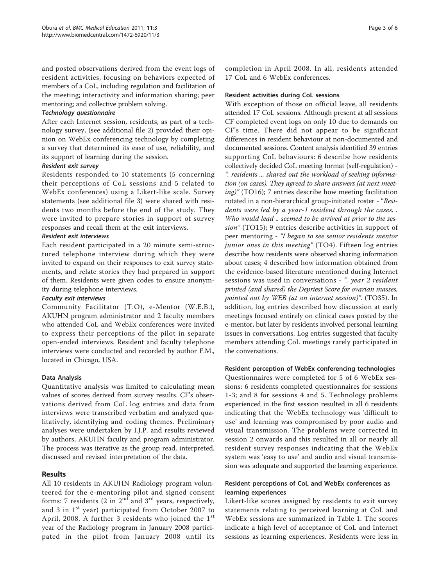and posted observations derived from the event logs of resident activities, focusing on behaviors expected of members of a CoL, including regulation and facilitation of the meeting; interactivity and information sharing; peer mentoring; and collective problem solving.

# Technology questionnaire

After each Internet session, residents, as part of a technology survey, (see additional file [2\)](#page-5-0) provided their opinion on WebEx conferencing technology by completing a survey that determined its ease of use, reliability, and its support of learning during the session.

# Resident exit survey

Residents responded to 10 statements (5 concerning their perceptions of CoL sessions and 5 related to WebEx conferences) using a Likert-like scale. Survey statements (see additional file [3](#page-5-0)) were shared with residents two months before the end of the study. They were invited to prepare stories in support of survey responses and recall them at the exit interviews.

# Resident exit interviews

Each resident participated in a 20 minute semi-structured telephone interview during which they were invited to expand on their responses to exit survey statements, and relate stories they had prepared in support of them. Residents were given codes to ensure anonymity during telephone interviews.

# Faculty exit interviews

Community Facilitator (T.O), e-Mentor (W.E.B.), AKUHN program administrator and 2 faculty members who attended CoL and WebEx conferences were invited to express their perceptions of the pilot in separate open-ended interviews. Resident and faculty telephone interviews were conducted and recorded by author F.M., located in Chicago, USA.

# Data Analysis

Quantitative analysis was limited to calculating mean values of scores derived from survey results. CF's observations derived from CoL log entries and data from interviews were transcribed verbatim and analyzed qualitatively, identifying and coding themes. Preliminary analyses were undertaken by I.J.P. and results reviewed by authors, AKUHN faculty and program administrator. The process was iterative as the group read, interpreted, discussed and revised interpretation of the data.

# Results

All 10 residents in AKUHN Radiology program volunteered for the e-mentoring pilot and signed consent forms: 7 residents (2 in  $2<sup>nd</sup>$  and  $3<sup>rd</sup>$  years, respectively, and 3 in  $1<sup>st</sup>$  year) participated from October 2007 to April, 2008. A further 3 residents who joined the  $1<sup>st</sup>$ year of the Radiology program in January 2008 participated in the pilot from January 2008 until its completion in April 2008. In all, residents attended 17 CoL and 6 WebEx conferences.

# Resident activities during CoL sessions

With exception of those on official leave, all residents attended 17 CoL sessions. Although present at all sessions CF completed event logs on only 10 due to demands on CF's time. There did not appear to be significant differences in resident behaviour at non-documented and documented sessions. Content analysis identified 39 entries supporting CoL behaviours: 6 describe how residents collectively decided CoL meeting format (self-regulation) - ". residents ... shared out the workload of seeking information (on cases). They agreed to share answers (at next meeting)" (TO16); 7 entries describe how meeting facilitation rotated in a non-hierarchical group-initiated roster - "Residents were led by a year-1 resident through the cases. . Who would lead .. seemed to be arrived at prior to the session" (TO15); 9 entries describe activities in support of peer mentoring - "I began to see senior residents mentor junior ones in this meeting" (TO4). Fifteen log entries describe how residents were observed sharing information about cases; 4 described how information obtained from the evidence-based literature mentioned during Internet sessions was used in conversations - ". year 2 resident printed (and shared) the Depriest Score for ovarian masses. pointed out by WEB (at an internet session)". (TO35). In addition, log entries described how discussion at early meetings focused entirely on clinical cases posted by the e-mentor, but later by residents involved personal learning issues in conversations. Log entries suggested that faculty members attending CoL meetings rarely participated in the conversations.

# Resident perception of WebEx conferencing technologies

Questionnaires were completed for 5 of 6 WebEx sessions: 6 residents completed questionnaires for sessions 1-3; and 8 for sessions 4 and 5. Technology problems experienced in the first session resulted in all 6 residents indicating that the WebEx technology was 'difficult to use' and learning was compromised by poor audio and visual transmission. The problems were corrected in session 2 onwards and this resulted in all or nearly all resident survey responses indicating that the WebEx system was 'easy to use' and audio and visual transmission was adequate and supported the learning experience.

# Resident perceptions of CoL and WebEx conferences as learning experiences

Likert-like scores assigned by residents to exit survey statements relating to perceived learning at CoL and WebEx sessions are summarized in Table [1.](#page-3-0) The scores indicate a high level of acceptance of CoL and Internet sessions as learning experiences. Residents were less in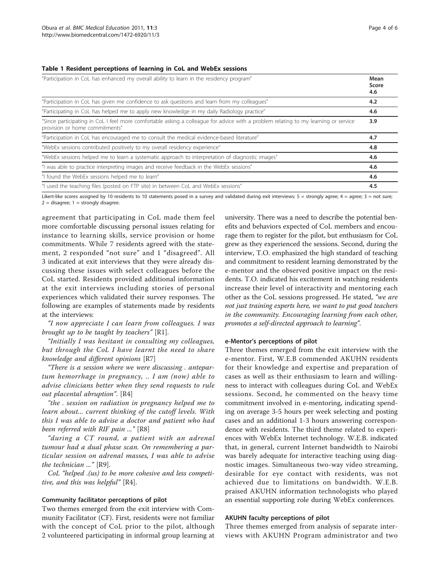#### <span id="page-3-0"></span>Table 1 Resident perceptions of learning in CoL and WebEx sessions

| "Participation in CoL has enhanced my overall ability to learn in the residency program"                                                                              | Mean<br>Score<br>4.6 |
|-----------------------------------------------------------------------------------------------------------------------------------------------------------------------|----------------------|
| "Participation in CoL has given me confidence to ask questions and learn from my colleagues"                                                                          | 4.2                  |
| "Participating in CoL has helped me to apply new knowledge in my daily Radiology practice"                                                                            | 4.6                  |
| "Since participating in CoL I feel more comfortable asking a colleague for advice with a problem relating to my learning or service<br>provision or home commitments" | 3.9                  |
| "Participation in CoL has encouraged me to consult the medical evidence-based literature"                                                                             | 4.7                  |
| "WebEx sessions contributed positively to my overall residency experience"                                                                                            | 4.8                  |
| "WebEx sessions helped me to learn a systematic approach to interpretation of diagnostic images"                                                                      | 4.6                  |
| "I was able to practice interpreting images and receive feedback in the WebEx sessions"                                                                               | 4.6                  |
| "I found the WebEx sessions helped me to learn"                                                                                                                       | 4.6                  |
| "I used the teaching files (posted on FTP site) in between CoL and WebEx sessions"                                                                                    | 4.5                  |

Likert-like scores assigned by 10 residents to 10 statements posed in a survey and validated during exit interviews: 5 = strongly agree; 4 = agree; 3 = not sure;  $2 =$  disagree;  $1 =$  strongly disagree.

agreement that participating in CoL made them feel more comfortable discussing personal issues relating for instance to learning skills, service provision or home commitments. While 7 residents agreed with the statement, 2 responded "not sure" and 1 "disagreed". All 3 indicated at exit interviews that they were already discussing these issues with select colleagues before the CoL started. Residents provided additional information at the exit interviews including stories of personal experiences which validated their survey responses. The following are examples of statements made by residents at the interviews:

"I now appreciate I can learn from colleagues. I was brought up to be taught by teachers" [R1].

"Initially I was hesitant in consulting my colleagues, but through the CoL I have learnt the need to share knowledge and different opinions [R7]

"There is a session where we were discussing . antepartum hemorrhage in pregnancy, .. I am (now) able to advise clinicians better when they send requests to rule out placental abruption". [R4]

"the . session on radiation in pregnancy helped me to learn about... current thinking of the cutoff levels. With this I was able to advise a doctor and patient who had been referred with RIF pain ..." [R8]

"during a CT round, a patient with an adrenal tumour had a dual phase scan. On remembering a particular session on adrenal masses, I was able to advise the technician ..." [R9].

CoL "helped .(us) to be more cohesive and less competitive, and this was helpful" [R4].

## Community facilitator perceptions of pilot

Two themes emerged from the exit interview with Community Facilitator (CF). First, residents were not familiar with the concept of CoL prior to the pilot, although 2 volunteered participating in informal group learning at

university. There was a need to describe the potential benefits and behaviors expected of CoL members and encourage them to register for the pilot, but enthusiasm for CoL grew as they experienced the sessions. Second, during the interview, T.O. emphasized the high standard of teaching and commitment to resident learning demonstrated by the e-mentor and the observed positive impact on the residents. T.O. indicated his excitement in watching residents increase their level of interactivity and mentoring each other as the CoL sessions progressed. He stated, "we are not just training experts here, we want to put good teachers in the community. Encouraging learning from each other, promotes a self-directed approach to learning".

#### e-Mentor's perceptions of pilot

Three themes emerged from the exit interview with the e-mentor. First, W.E.B commended AKUHN residents for their knowledge and expertise and preparation of cases as well as their enthusiasm to learn and willingness to interact with colleagues during CoL and WebEx sessions. Second, he commented on the heavy time commitment involved in e-mentoring, indicating spending on average 3-5 hours per week selecting and posting cases and an additional 1-3 hours answering correspondence with residents. The third theme related to experiences with WebEx Internet technology. W.E.B. indicated that, in general, current Internet bandwidth to Nairobi was barely adequate for interactive teaching using diagnostic images. Simultaneous two-way video streaming, desirable for eye contact with residents, was not achieved due to limitations on bandwidth. W.E.B. praised AKUHN information technologists who played an essential supporting role during WebEx conferences.

## AKUHN faculty perceptions of pilot

Three themes emerged from analysis of separate interviews with AKUHN Program administrator and two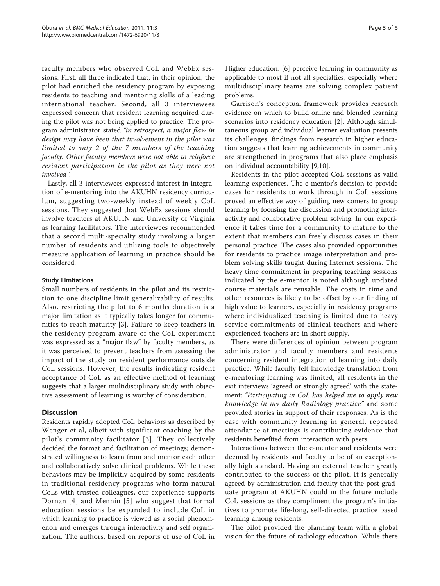faculty members who observed CoL and WebEx sessions. First, all three indicated that, in their opinion, the pilot had enriched the residency program by exposing residents to teaching and mentoring skills of a leading international teacher. Second, all 3 interviewees expressed concern that resident learning acquired during the pilot was not being applied to practice. The program administrator stated "in retrospect, a major flaw in design may have been that involvement in the pilot was limited to only 2 of the 7 members of the teaching faculty. Other faculty members were not able to reinforce resident participation in the pilot as they were not involved".

Lastly, all 3 interviewees expressed interest in integration of e-mentoring into the AKUHN residency curriculum, suggesting two-weekly instead of weekly CoL sessions. They suggested that WebEx sessions should involve teachers at AKUHN and University of Virginia as learning facilitators. The interviewees recommended that a second multi-specialty study involving a larger number of residents and utilizing tools to objectively measure application of learning in practice should be considered.

# Study Limitations

Small numbers of residents in the pilot and its restriction to one discipline limit generalizability of results. Also, restricting the pilot to 6 months duration is a major limitation as it typically takes longer for communities to reach maturity [\[3](#page-5-0)]. Failure to keep teachers in the residency program aware of the CoL experiment was expressed as a "major flaw" by faculty members, as it was perceived to prevent teachers from assessing the impact of the study on resident performance outside CoL sessions. However, the results indicating resident acceptance of CoL as an effective method of learning suggests that a larger multidisciplinary study with objective assessment of learning is worthy of consideration.

# **Discussion**

Residents rapidly adopted CoL behaviors as described by Wenger et al, albeit with significant coaching by the pilot's community facilitator [[3](#page-5-0)]. They collectively decided the format and facilitation of meetings; demonstrated willingness to learn from and mentor each other and collaboratively solve clinical problems. While these behaviors may be implicitly acquired by some residents in traditional residency programs who form natural CoLs with trusted colleagues, our experience supports Dornan [[4](#page-5-0)] and Mennin [[5\]](#page-5-0) who suggest that formal education sessions be expanded to include CoL in which learning to practice is viewed as a social phenomenon and emerges through interactivity and self organization. The authors, based on reports of use of CoL in Higher education, [[6\]](#page-5-0) perceive learning in community as applicable to most if not all specialties, especially where multidisciplinary teams are solving complex patient problems.

Garrison's conceptual framework provides research evidence on which to build online and blended learning scenarios into residency education [[2\]](#page-5-0). Although simultaneous group and individual learner evaluation presents its challenges, findings from research in higher education suggests that learning achievements in community are strengthened in programs that also place emphasis on individual accountability [[9,10\]](#page-5-0).

Residents in the pilot accepted CoL sessions as valid learning experiences. The e-mentor's decision to provide cases for residents to work through in CoL sessions proved an effective way of guiding new comers to group learning by focusing the discussion and promoting interactivity and collaborative problem solving. In our experience it takes time for a community to mature to the extent that members can freely discuss cases in their personal practice. The cases also provided opportunities for residents to practice image interpretation and problem solving skills taught during Internet sessions. The heavy time commitment in preparing teaching sessions indicated by the e-mentor is noted although updated course materials are reusable. The costs in time and other resources is likely to be offset by our finding of high value to learners, especially in residency programs where individualized teaching is limited due to heavy service commitments of clinical teachers and where experienced teachers are in short supply.

There were differences of opinion between program administrator and faculty members and residents concerning resident integration of learning into daily practice. While faculty felt knowledge translation from e-mentoring learning was limited, all residents in the exit interviews 'agreed or strongly agreed' with the statement: "Participating in CoL has helped me to apply new knowledge in my daily Radiology practice" and some provided stories in support of their responses. As is the case with community learning in general, repeated attendance at meetings is contributing evidence that residents benefited from interaction with peers.

Interactions between the e-mentor and residents were deemed by residents and faculty to be of an exceptionally high standard. Having an external teacher greatly contributed to the success of the pilot. It is generally agreed by administration and faculty that the post graduate program at AKUHN could in the future include CoL sessions as they compliment the program's initiatives to promote life-long, self-directed practice based learning among residents.

The pilot provided the planning team with a global vision for the future of radiology education. While there